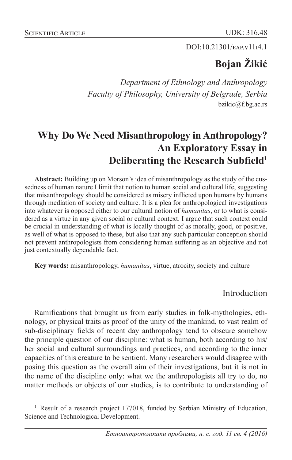#### DOI:10.21301/EAP.v1114.1

# **Bojan Žikić**

*Department of Ethnology and Anthropology Faculty of Philosophy, University of Belgrade, Serbia* bzikic@f.bg.ac.rs

## **Why Do We Need Misanthropology in Anthropology? An Exploratory Essay in Deliberating the Research Subfield1**

**Abstract:** Building up on Morson's idea of misanthropology as the study of the cussedness of human nature I limit that notion to human social and cultural life, suggesting that misanthropology should be considered as misery inflicted upon humans by humans through mediation of society and culture. It is a plea for anthropological investigations into whatever is opposed either to our cultural notion of *humanitas*, or to what is considered as a virtue in any given social or cultural context. I argue that such context could be crucial in understanding of what is locally thought of as morally, good, or positive, as well of what is opposed to these, but also that any such particular conception should not prevent anthropologists from considering human suffering as an objective and not just contextually dependable fact.

**Key words:** misanthropology, *humanitas*, virtue, atrocity, society and culture

## Introduction

Ramifications that brought us from early studies in folk-mythologies, ethnology, or physical traits as proof of the unity of the mankind, to vast realm of sub-disciplinary fields of recent day anthropology tend to obscure somehow the principle question of our discipline: what is human, both according to his/ her social and cultural surroundings and practices, and according to the inner capacities of this creature to be sentient. Many researchers would disagree with posing this question as the overall aim of their investigations, but it is not in the name of the discipline only: what we the anthropologists all try to do, no matter methods or objects of our studies, is to contribute to understanding of

<sup>&</sup>lt;sup>1</sup> Result of a research project 177018, funded by Serbian Ministry of Education, Science and Technological Development.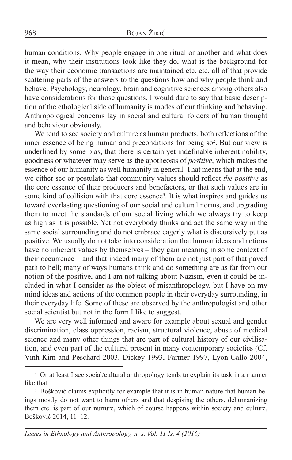human conditions. Why people engage in one ritual or another and what does it mean, why their institutions look like they do, what is the background for the way their economic transactions are maintained etc, etc, all of that provide scattering parts of the answers to the questions how and why people think and behave. Psychology, neurology, brain and cognitive sciences among others also have considerations for those questions. I would dare to say that basic description of the ethological side of humanity is modes of our thinking and behaving. Anthropological concerns lay in social and cultural folders of human thought and behaviour obviously.

We tend to see society and culture as human products, both reflections of the inner essence of being human and preconditions for being so<sup>2</sup>. But our view is underlined by some bias, that there is certain yet indefinable inherent nobility, goodness or whatever may serve as the apotheosis of *positive*, which makes the essence of our humanity as well humanity in general. That means that at the end, we either see or postulate that community values should reflect *the positive* as the core essence of their producers and benefactors, or that such values are in some kind of collision with that core essence<sup>3</sup>. It is what inspires and guides us toward everlasting questioning of our social and cultural norms, and upgrading them to meet the standards of our social living which we always try to keep as high as it is possible. Yet not everybody thinks and act the same way in the same social surrounding and do not embrace eagerly what is discursively put as positive. We usually do not take into consideration that human ideas and actions have no inherent values by themselves – they gain meaning in some context of their occurrence – and that indeed many of them are not just part of that paved path to hell; many of ways humans think and do something are as far from our notion of the positive, and I am not talking about Nazism, even it could be included in what I consider as the object of misanthropology, but I have on my mind ideas and actions of the common people in their everyday surrounding, in their everyday life. Some of these are observed by the anthropologist and other social scientist but not in the form I like to suggest.

We are very well informed and aware for example about sexual and gender discrimination, class oppression, racism, structural violence, abuse of medical science and many other things that are part of cultural history of our civilisation, and even part of the cultural present in many contemporary societies (Cf. Vinh-Kim and Peschard 2003, Dickey 1993, Farmer 1997, Lyon-Callo 2004,

<sup>&</sup>lt;sup>2</sup> Or at least I see social/cultural anthropology tends to explain its task in a manner like that.

<sup>&</sup>lt;sup>3</sup> Bošković claims explicitly for example that it is in human nature that human beings mostly do not want to harm others and that despising the others, dehumanizing them etc. is part of our nurture, which of course happens within society and culture, Bošković 2014, 11–12.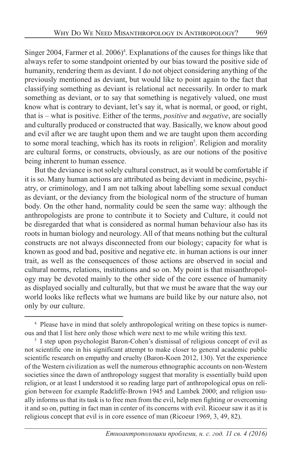Singer 2004, Farmer et al. 2006)<sup>4</sup>. Explanations of the causes for things like that always refer to some standpoint oriented by our bias toward the positive side of humanity, rendering them as deviant. I do not object considering anything of the previously mentioned as deviant, but would like to point again to the fact that classifying something as deviant is relational act necessarily. In order to mark something as deviant, or to say that something is negatively valued, one must know what is contrary to deviant, let's say it, what is normal, or good, or right, that is – what is positive. Either of the terms, *positive* and *negative*, are socially and culturally produced or constructed that way. Basically, we know about good and evil after we are taught upon them and we are taught upon them according to some moral teaching, which has its roots in religion<sup>5</sup>. Religion and morality are cultural forms, or constructs, obviously, as are our notions of the positive being inherent to human essence.

But the deviance is not solely cultural construct, as it would be comfortable if it is so. Many human actions are attributed as being deviant in medicine, psychiatry, or criminology, and I am not talking about labelling some sexual conduct as deviant, or the deviancy from the biological norm of the structure of human body. On the other hand, normality could be seen the same way: although the anthropologists are prone to contribute it to Society and Culture, it could not be disregarded that what is considered as normal human behaviour also has its roots in human biology and neurology. All of that means nothing but the cultural constructs are not always disconnected from our biology; capacity for what is known as good and bad, positive and negative etc. in human actions is our inner trait, as well as the consequences of those actions are observed in social and cultural norms, relations, institutions and so on. My point is that misanthropology may be devoted mainly to the other side of the core essence of humanity as displayed socially and culturally, but that we must be aware that the way our world looks like reflects what we humans are build like by our nature also, not only by our culture.

<sup>&</sup>lt;sup>4</sup> Please have in mind that solely anthropological writing on these topics is numerous and that I list here only those which were next to me while writing this text.

<sup>&</sup>lt;sup>5</sup> I step upon psychologist Baron-Cohen's dismissal of religious concept of evil as not scientific one in his significant attempt to make closer to general academic public scientific research on empathy and cruelty (Baron-Koen 2012, 130). Yet the experience of the Western civilization as well the numerous ethnographic accounts on non-Western societies since the dawn of anthropology suggest that morality is essentially build upon religion, or at least I understood it so reading large part of anthropological opus on religion between for example Radcliffe-Brown 1945 and Lambek 2000; and religion usually informs us that its task is to free men from the evil, help men fighting or overcoming it and so on, putting in fact man in center of its concerns with evil. Ricoeur saw it as it is religious concept that evil is in core essence of man (Ricoeur 1969, 3, 49, 82).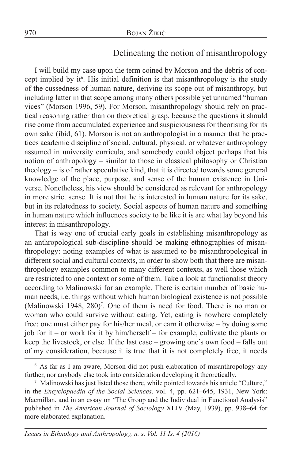## Delineating the notion of misanthropology

I will build my case upon the term coined by Morson and the debris of concept implied by it<sup>6</sup>. His initial definition is that misanthropology is the study of the cussedness of human nature, deriving its scope out of misanthropy, but including latter in that scope among many others possible yet unnamed "human vices" (Morson 1996, 59). For Morson, misanthropology should rely on practical reasoning rather than on theoretical grasp, because the questions it should rise come from accumulated experience and suspiciousness for theorising for its own sake (ibid, 61). Morson is not an anthropologist in a manner that he practices academic discipline of social, cultural, physical, or whatever anthropology assumed in university curricula, and somebody could object perhaps that his notion of anthropology – similar to those in classical philosophy or Christian theology – is of rather speculative kind, that it is directed towards some general knowledge of the place, purpose, and sense of the human existence in Universe. Nonetheless, his view should be considered as relevant for anthropology in more strict sense. It is not that he is interested in human nature for its sake, but in its relatedness to society. Social aspects of human nature and something in human nature which influences society to be like it is are what lay beyond his interest in misanthropology.

That is way one of crucial early goals in establishing misanthropology as an anthropological sub-discipline should be making ethnographies of misanthropology: noting examples of what is assumed to be misanthropological in different social and cultural contexts, in order to show both that there are misanthropology examples common to many different contexts, as well those which are restricted to one context or some of them. Take a look at functionalist theory according to Malinowski for an example. There is certain number of basic human needs, i.e. things without which human biological existence is not possible (Malinowski 1948, 280)<sup>7</sup>. One of them is need for food. There is no man or woman who could survive without eating. Yet, eating is nowhere completely free: one must either pay for his/her meal, or earn it otherwise – by doing some job for it – or work for it by him/herself – for example, cultivate the plants or keep the livestock, or else. If the last case – growing one's own food – falls out of my consideration, because it is true that it is not completely free, it needs

<sup>6</sup> As far as I am aware, Morson did not push elaboration of misanthropology any further, nor anybody else took into consideration developing it theoretically.

<sup>&</sup>lt;sup>7</sup> Malinowski has just listed those there, while pointed towards his article "Culture," in the *Encyclopaedia of the Social Sciences,* vol. 4, pp. 621–645, 1931, New York: Macmillan, and in an essay on 'The Group and the Individual in Functional Analysis" published in *The American Journal of Sociology* XLIV (May, 1939), pp. 938–64 for more elaborated explanation.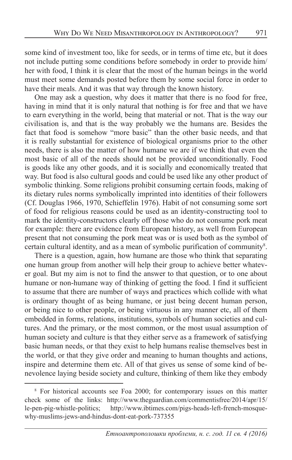some kind of investment too, like for seeds, or in terms of time etc, but it does not include putting some conditions before somebody in order to provide him/ her with food, I think it is clear that the most of the human beings in the world must meet some demands posted before them by some social force in order to have their meals. And it was that way through the known history.

One may ask a question, why does it matter that there is no food for free, having in mind that it is only natural that nothing is for free and that we have to earn everything in the world, being that material or not. That is the way our civilisation is, and that is the way probably we the humans are. Besides the fact that food is somehow "more basic" than the other basic needs, and that it is really substantial for existence of biological organisms prior to the other needs, there is also the matter of how humane we are if we think that even the most basic of all of the needs should not be provided unconditionally. Food is goods like any other goods, and it is socially and economically treated that way. But food is also cultural goods and could be used like any other product of symbolic thinking. Some religions prohibit consuming certain foods, making of its dietary rules norms symbolically imprinted into identities of their followers (Cf. Douglas 1966, 1970, Schieffelin 1976). Habit of not consuming some sort of food for religious reasons could be used as an identity-constructing tool to mark the identity-constructors clearly off those who do not consume pork meat for example: there are evidence from European history, as well from European present that not consuming the pork meat was or is used both as the symbol of certain cultural identity, and as a mean of symbolic purification of community<sup>8</sup>.

There is a question, again, how humane are those who think that separating one human group from another will help their group to achieve better whatever goal. But my aim is not to find the answer to that question, or to one about humane or non-humane way of thinking of getting the food. I find it sufficient to assume that there are number of ways and practices which collide with what is ordinary thought of as being humane, or just being decent human person, or being nice to other people, or being virtuous in any manner etc, all of them embedded in forms, relations, institutions, symbols of human societies and cultures. And the primary, or the most common, or the most usual assumption of human society and culture is that they either serve as a framework of satisfying basic human needs, or that they exist to help humans realise themselves best in the world, or that they give order and meaning to human thoughts and actions, inspire and determine them etc. All of that gives us sense of some kind of benevolence laying beside society and culture, thinking of them like they embody

<sup>8</sup> For historical accounts see Foa 2000; for contemporary issues on this matter check some of the links: http://www.theguardian.com/commentisfree/2014/apr/15/ le-pen-pig-whistle-politics; http://www.ibtimes.com/pigs-heads-left-french-mosquewhy-muslims-jews-and-hindus-dont-eat-pork-737355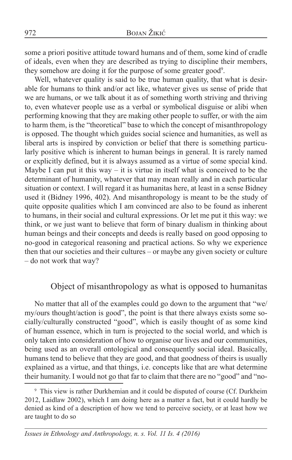some a priori positive attitude toward humans and of them, some kind of cradle of ideals, even when they are described as trying to discipline their members, they somehow are doing it for the purpose of some greater good<sup>9</sup>.

Well, whatever quality is said to be true human quality, that what is desirable for humans to think and/or act like, whatever gives us sense of pride that we are humans, or we talk about it as of something worth striving and thriving to, even whatever people use as a verbal or symbolical disguise or alibi when performing knowing that they are making other people to suffer, or with the aim to harm them, is the "theoretical" base to which the concept of misanthropology is opposed. The thought which guides social science and humanities, as well as liberal arts is inspired by conviction or belief that there is something particularly positive which is inherent to human beings in general. It is rarely named or explicitly defined, but it is always assumed as a virtue of some special kind. Maybe I can put it this way – it is virtue in itself what is conceived to be the determinant of humanity, whatever that may mean really and in each particular situation or context. I will regard it as humanitas here, at least in a sense Bidney used it (Bidney 1996, 402). And misanthropology is meant to be the study of quite opposite qualities which I am convinced are also to be found as inherent to humans, in their social and cultural expressions. Or let me put it this way: we think, or we just want to believe that form of binary dualism in thinking about human beings and their concepts and deeds is really based on good opposing to no-good in categorical reasoning and practical actions. So why we experience then that our societies and their cultures – or maybe any given society or culture – do not work that way?

### Object of misanthropology as what is opposed to humanitas

No matter that all of the examples could go down to the argument that "we/ my/ours thought/action is good", the point is that there always exists some socially/culturally constructed "good", which is easily thought of as some kind of human essence, which in turn is projected to the social world, and which is only taken into consideration of how to organise our lives and our communities, being used as an overall ontological and consequently social ideal. Basically, humans tend to believe that they are good, and that goodness of theirs is usually explained as a virtue, and that things, i.e. concepts like that are what determine their humanity. I would not go that far to claim that there are no "good" and "no-

<sup>&</sup>lt;sup>9</sup> This view is rather Durkhemian and it could be disputed of course (Cf. Durkheim 2012, Laidlaw 2002), which I am doing here as a matter a fact, but it could hardly be denied as kind of a description of how we tend to perceive society, or at least how we are taught to do so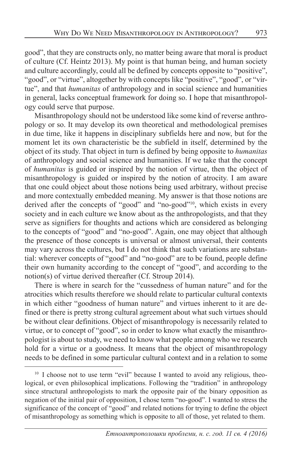good", that they are constructs only, no matter being aware that moral is product of culture (Cf. Heintz 2013). My point is that human being, and human society and culture accordingly, could all be defined by concepts opposite to "positive", "good", or "virtue", altogether by with concepts like "positive", "good", or "virtue", and that *humanitas* of anthropology and in social science and humanities in general, lacks conceptual framework for doing so. I hope that misanthropology could serve that purpose.

Misanthropology should not be understood like some kind of reverse anthropology or so. It may develop its own theoretical and methodological premises in due time, like it happens in disciplinary subfields here and now, but for the moment let its own characteristic be the subfield in itself, determined by the object of its study. That object in turn is defined by being opposite to *humanitas* of anthropology and social science and humanities. If we take that the concept of *humanitas* is guided or inspired by the notion of virtue, then the object of misanthropology is guided or inspired by the notion of atrocity. I am aware that one could object about those notions being used arbitrary, without precise and more contextually embedded meaning. My answer is that those notions are derived after the concepts of "good" and "no-good"<sup>10</sup>, which exists in every society and in each culture we know about as the anthropologists, and that they serve as signifiers for thoughts and actions which are considered as belonging to the concepts of "good" and "no-good". Again, one may object that although the presence of those concepts is universal or almost universal, their contents may vary across the cultures, but I do not think that such variations are substantial: wherever concepts of "good" and "no-good" are to be found, people define their own humanity according to the concept of "good", and according to the notion(s) of virtue derived thereafter (Cf. Stroup 2014).

There is where in search for the "cussedness of human nature" and for the atrocities which results therefore we should relate to particular cultural contexts in which either "goodness of human nature" and virtues inherent to it are defined or there is pretty strong cultural agreement about what such virtues should be without clear definitions. Object of misanthropology is necessarily related to virtue, or to concept of "good", so in order to know what exactly the misanthropologist is about to study, we need to know what people among who we research hold for a virtue or a goodness. It means that the object of misanthropology needs to be defined in some particular cultural context and in a relation to some

<sup>&</sup>lt;sup>10</sup> I choose not to use term "evil" because I wanted to avoid any religious, theological, or even philosophical implications. Following the "tradition" in anthropology since structural anthropologists to mark the opposite pair of the binary opposition as negation of the initial pair of opposition, I chose term "no-good". I wanted to stress the significance of the concept of "good" and related notions for trying to define the object of misanthropology as something which is opposite to all of those, yet related to them.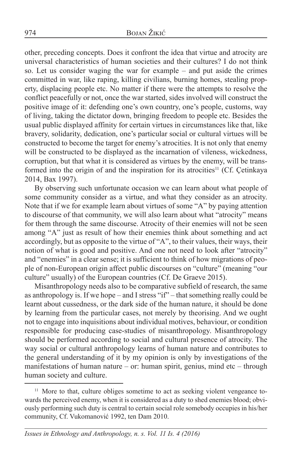other, preceding concepts. Does it confront the idea that virtue and atrocity are universal characteristics of human societies and their cultures? I do not think so. Let us consider waging the war for example – and put aside the crimes committed in war, like raping, killing civilians, burning homes, stealing property, displacing people etc. No matter if there were the attempts to resolve the conflict peacefully or not, once the war started, sides involved will construct the positive image of it: defending one's own country, one's people, customs, way of living, taking the dictator down, bringing freedom to people etc. Besides the usual public displayed affinity for certain virtues in circumstances like that, like bravery, solidarity, dedication, one's particular social or cultural virtues will be constructed to become the target for enemy's atrocities. It is not only that enemy will be constructed to be displayed as the incarnation of vileness, wickedness, corruption, but that what it is considered as virtues by the enemy, will be transformed into the origin of and the inspiration for its atrocities<sup>11</sup> (Cf. Çetinkaya 2014, Bax 1997).

By observing such unfortunate occasion we can learn about what people of some community consider as a virtue, and what they consider as an atrocity. Note that if we for example learn about virtues of some "A" by paying attention to discourse of that community, we will also learn about what "atrocity" means for them through the same discourse. Atrocity of their enemies will not be seen among "A" just as result of how their enemies think about something and act accordingly, but as opposite to the virtue of "A", to their values, their ways, their notion of what is good and positive. And one not need to look after "atrocity" and "enemies" in a clear sense; it is sufficient to think of how migrations of people of non-European origin affect public discourses on "culture" (meaning "our culture" usually) of the European countries (Cf. De Graeve 2015).

Misanthropology needs also to be comparative subfield of research, the same as anthropology is. If we hope – and I stress "if" – that something really could be learnt about cussedness, or the dark side of the human nature, it should be done by learning from the particular cases, not merely by theorising. And we ought not to engage into inquisitions about individual motives, behaviour, or condition responsible for producing case-studies of misanthropology. Misanthropology should be performed according to social and cultural presence of atrocity. The way social or cultural anthropology learns of human nature and contributes to the general understanding of it by my opinion is only by investigations of the manifestations of human nature – or: human spirit, genius, mind etc – through human society and culture.

<sup>11</sup> More to that, culture obliges sometime to act as seeking violent vengeance towards the perceived enemy, when it is considered as a duty to shed enemies blood; obviously performing such duty is central to certain social role somebody occupies in his/her community, Cf. Vukomanović 1992, ten Dam 2010.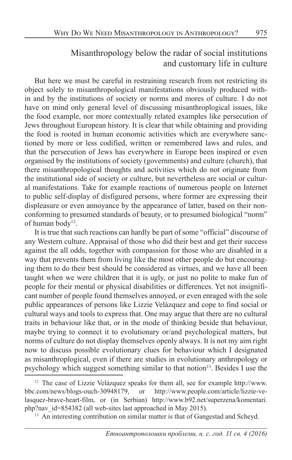## Misanthropology below the radar of social institutions and customary life in culture

But here we must be careful in restraining research from not restricting its object solely to misanthropological manifestations obviously produced within and by the institutions of society or norms and mores of culture. I do not have on mind only general level of discussing misanthroplogical issues, like the food example, nor more contextually related examples like persecution of Jews throughout European history. It is clear that while obtaining and providing the food is rooted in human economic activities which are everywhere sanctioned by more or less codified, written or remembered laws and rules, and that the persecution of Jews has everywhere in Europe been inspired or even organised by the institutions of society (governments) and culture (church), that there misanthropological thoughts and activities which do not originate from the institutional side of society or culture, but nevertheless are social or cultural manifestations. Take for example reactions of numerous people on Internet to public self-display of disfigured persons, where former are expressing their displeasure or even annoyance by the appearance of latter, based on their nonconforming to presumed standards of beauty, or to presumed biological "norm" of human body<sup>12</sup>.

It is true that such reactions can hardly be part of some "official" discourse of any Western culture. Appraisal of those who did their best and get their success against the all odds, together with compassion for those who are disabled in a way that prevents them from living like the most other people do but encouraging them to do their best should be considered as virtues, and we have all been taught when we were children that it is ugly, or just no polite to make fun of people for their mental or physical disabilities or differences. Yet not insignificant number of people found themselves annoyed, or even enraged with the sole public appearances of persons like Lizzie Velázquez and cope to find social or cultural ways and tools to express that. One may argue that there are no cultural traits in behaviour like that, or in the mode of thinking beside that behaviour, maybe trying to connect it to evolutionary or/and psychological matters, but norms of culture do not display themselves openly always. It is not my aim right now to discuss possible evolutionary clues for behaviour which I designated as misanthroplogical, even if there are studies in evolutionary anthropology or psychology which suggest something similar to that notion<sup>13</sup>. Besides I use the

<sup>&</sup>lt;sup>12</sup> The case of Lizzie Velázquez speaks for them all, see for example http://www. bbc.com/news/blogs-ouch-30948179, or http://www.people.com/article/lizzie-velasquez-brave-heart-film, or (in Serbian) http://www.b92.net/superzena/komentari. php?nav\_id=854382 (all web-sites last approached in May 2015).

<sup>&</sup>lt;sup>13</sup> An interesting contribution on similar matter is that of Gangestad and Scheyd.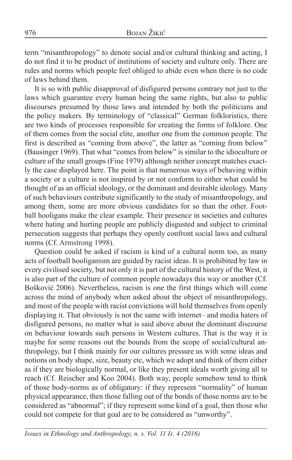term "misanthropology" to denote social and/or cultural thinking and acting, I do not find it to be product of institutions of society and culture only. There are rules and norms which people feel obliged to abide even when there is no code of laws behind them.

It is so with public disapproval of disfigured persons contrary not just to the laws which guarantee every human being the same rights, but also to public discourses presumed by those laws and intended by both the politicians and the policy makers. By terminology of "classical" German folkloristics, there are two kinds of processes responsible for creating the forms of folklore. One of them comes from the social elite, another one from the common people. The first is described as "coming from above", the latter as "coming from below" (Bausinger 1969). That what "comes from below" is similar to the idioculture or culture of the small groups (Fine 1979) although neither concept matches exactly the case displayed here. The point is that numerous ways of behaving within a society or a culture is not inspired by or not conform to either what could be thought of as an official ideology, or the dominant and desirable ideology. Many of such behaviours contribute significantly to the study of misanthropology, and among them, some are more obvious candidates for so than the other. Football hooligans make the clear example. Their presence in societies and cultures where hating and hurting people are publicly disgusted and subject to criminal persecution suggests that perhaps they openly confront social laws and cultural norms (Cf. Armstrong 1998).

Question could be asked if racism is kind of a cultural norm too, as many acts of football hooliganism are guided by racist ideas. It is prohibited by law in every civilised society, but not only it is part of the cultural history of the West, it is also part of the culture of common people nowadays this way or another (Cf. Bošković 2006). Nevertheless, racism is one the first things which will come across the mind of anybody when asked about the object of misanthropology, and most of the people with racist convictions will hold themselves from openly displaying it. That obviously is not the same with internet– and media haters of disfigured persons, no matter what is said above about the dominant discourse on behaviour towards such persons in Western cultures. That is the way it is maybe for some reasons out the bounds from the scope of social/cultural anthropology, but I think mainly for our cultures pressure us with some ideas and notions on body shape, size, beauty etc, which we adopt and think of them either as if they are biologically normal, or like they present ideals worth giving all to reach (Cf. Reischer and Koo 2004). Both way, people somehow tend to think of those body-norms as of obligatory: if they represent "normality" of human physical appearance, then those falling out of the bonds of those norms are to be considered as "abnormal"; if they represent some kind of a goal, then those who could not compete for that goal are to be considered as "unworthy".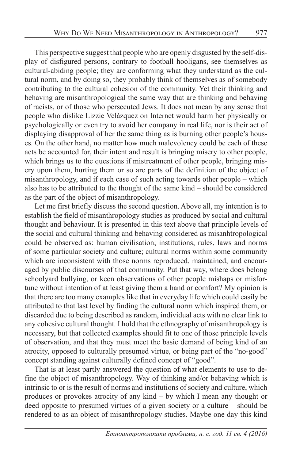This perspective suggest that people who are openly disgusted by the self-display of disfigured persons, contrary to football hooligans, see themselves as cultural-abiding people; they are conforming what they understand as the cultural norm, and by doing so, they probably think of themselves as of somebody contributing to the cultural cohesion of the community. Yet their thinking and behaving are misanthropological the same way that are thinking and behaving of racists, or of those who persecuted Jews. It does not mean by any sense that people who dislike Lizzie Velázquez on Internet would harm her physically or psychologically or even try to avoid her company in real life, nor is their act of displaying disapproval of her the same thing as is burning other people's houses. On the other hand, no matter how much malevolency could be each of these acts be accounted for, their intent and result is bringing misery to other people, which brings us to the questions if mistreatment of other people, bringing misery upon them, hurting them or so are parts of the definition of the object of misanthropology, and if each case of such acting towards other people – which also has to be attributed to the thought of the same kind – should be considered as the part of the object of misanthropology.

Let me first briefly discuss the second question. Above all, my intention is to establish the field of misanthropology studies as produced by social and cultural thought and behaviour. It is presented in this text above that principle levels of the social and cultural thinking and behaving considered as misanhtropological could be observed as: human civilisation; institutions, rules, laws and norms of some particular society and culture; cultural norms within some community which are inconsistent with those norms reproduced, maintained, and encouraged by public discourses of that community. Put that way, where does belong schoolyard bullying, or keen observations of other people mishaps or misfortune without intention of at least giving them a hand or comfort? My opinion is that there are too many examples like that in everyday life which could easily be attributed to that last level by finding the cultural norm which inspired them, or discarded due to being described as random, individual acts with no clear link to any cohesive cultural thought. I hold that the ethnography of misanthropology is necessary, but that collected examples should fit to one of those principle levels of observation, and that they must meet the basic demand of being kind of an atrocity, opposed to culturally presumed virtue, or being part of the "no-good" concept standing against culturally defined concept of "good".

That is at least partly answered the question of what elements to use to define the object of misanthropology. Way of thinking and/or behaving which is intrinsic to or is the result of norms and institutions of society and culture, which produces or provokes atrocity of any kind – by which I mean any thought or deed opposite to presumed virtues of a given society or a culture – should be rendered to as an object of misanthropology studies. Maybe one day this kind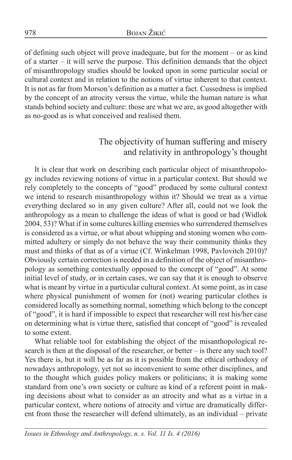of defining such object will prove inadequate, but for the moment – or as kind of a starter – it will serve the purpose. This definition demands that the object of misanthropology studies should be looked upon in some particular social or cultural context and in relation to the notions of virtue inherent to that context. It is not as far from Morson's definition as a matter a fact. Cussedness is implied by the concept of an atrocity versus the virtue, while the human nature is what stands behind society and culture: those are what we are, as good altogether with as no-good as is what conceived and realised them.

## The objectivity of human suffering and misery and relativity in anthropology's thought

It is clear that work on describing each particular object of misanthropology includes reviewing notions of virtue in a particular context. But should we rely completely to the concepts of "good" produced by some cultural context we intend to research misanthropology within it? Should we treat as a virtue everything declared so in any given culture? After all, could not we look the anthropology as a mean to challenge the ideas of what is good or bad (Widlok 2004, 53)? What if in some cultures killing enemies who surrendered themselves is considered as a virtue, or what about whipping and stoning women who committed adultery or simply do not behave the way their community thinks they must and thinks of that as of a virtue (Cf. Winkelman 1998, Pavlovitch 2010)? Obviously certain correction is needed in a definition of the object of misanthropology as something contextually opposed to the concept of "good". At some initial level of study, or in certain cases, we can say that it is enough to observe what is meant by virtue in a particular cultural context. At some point, as in case where physical punishment of women for (not) wearing particular clothes is considered locally as something normal, something which belong to the concept of "good", it is hard if impossible to expect that researcher will rest his/her case on determining what is virtue there, satisfied that concept of "good" is revealed to some extent.

What reliable tool for establishing the object of the misanthopological research is then at the disposal of the researcher, or better – is there any such tool? Yes there is, but it will be as far as it is possible from the ethical orthodoxy of nowadays anthropology, yet not so inconvenient to some other disciplines, and to the thought which guides policy makers or politicians; it is making some standard from one's own society or culture as kind of a referent point in making decisions about what to consider as an atrocity and what as a virtue in a particular context, where notions of atrocity and virtue are dramatically different from those the researcher will defend ultimately, as an individual – private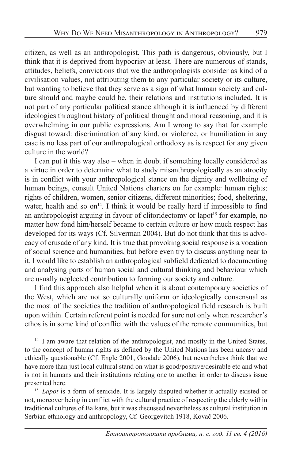citizen, as well as an anthropologist. This path is dangerous, obviously, but I think that it is deprived from hypocrisy at least. There are numerous of stands, attitudes, beliefs, convictions that we the anthropologists consider as kind of a civilisation values, not attributing them to any particular society or its culture, but wanting to believe that they serve as a sign of what human society and culture should and maybe could be, their relations and institutions included. It is not part of any particular political stance although it is influenced by different ideologies throughout history of political thought and moral reasoning, and it is overwhelming in our public expressions. Am I wrong to say that for example disgust toward: discrimination of any kind, or violence, or humiliation in any case is no less part of our anthropological orthodoxy as is respect for any given culture in the world?

I can put it this way also – when in doubt if something locally considered as a virtue in order to determine what to study misanthropologically as an atrocity is in conflict with your anthropological stance on the dignity and wellbeing of human beings, consult United Nations charters on for example: human rights; rights of children, women, senior citizens, different minorities; food, sheltering, water, health and so on<sup>14</sup>. I think it would be really hard if impossible to find an anthropologist arguing in favour of clitoridectomy or lapot<sup>15</sup> for example, no matter how fond him/herself became to certain culture or how much respect has developed for its ways (Cf. Silverman 2004). But do not think that this is advocacy of crusade of any kind. It is true that provoking social response is a vocation of social science and humanities, but before even try to discuss anything near to it, I would like to establish an anthropological subfield dedicated to documenting and analysing parts of human social and cultural thinking and behaviour which are usually neglected contribution to forming our society and culture.

I find this approach also helpful when it is about contemporary societies of the West, which are not so culturally uniform or ideologically consensual as the most of the societies the tradition of anthropological field research is built upon within. Certain referent point is needed for sure not only when researcher's ethos is in some kind of conflict with the values of the remote communities, but

<sup>&</sup>lt;sup>14</sup> I am aware that relation of the anthropologist, and mostly in the United States, to the concept of human rights as defined by the United Nations has been uneasy and ethically questionable (Cf. Engle 2001, Goodale 2006), but nevertheless think that we have more than just local cultural stand on what is good/positive/desirable etc and what is not in humans and their institutions relating one to another in order to discuss issue presented here.

<sup>&</sup>lt;sup>15</sup> *Lapot* is a form of senicide. It is largely disputed whether it actually existed or not, moreover being in conflict with the cultural practice of respecting the elderly within traditional cultures of Balkans, but it was discussed nevertheless as cultural institution in Serbian ethnology and anthropology, Cf. Georgevitch 1918, Kovač 2006.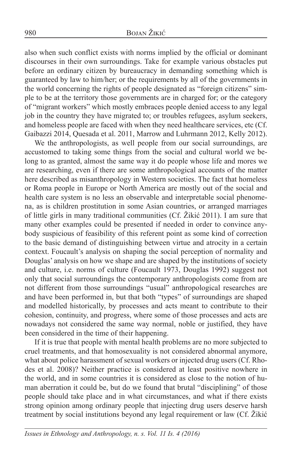also when such conflict exists with norms implied by the official or dominant discourses in their own surroundings. Take for example various obstacles put before an ordinary citizen by bureaucracy in demanding something which is guaranteed by law to him/her; or the requirements by all of the governments in the world concerning the rights of people designated as "foreign citizens" simple to be at the territory those governments are in charged for; or the category of "migrant workers" which mostly embraces people denied access to any legal job in the country they have migrated to; or troubles refugees, asylum seekers, and homeless people are faced with when they need healthcare services, etc (Cf. Gaibazzi 2014, Quesada et al. 2011, Marrow and Luhrmann 2012, Kelly 2012).

We the anthropologists, as well people from our social surroundings, are accustomed to taking some things from the social and cultural world we belong to as granted, almost the same way it do people whose life and mores we are researching, even if there are some anthropological accounts of the matter here described as misanthropology in Western societies. The fact that homeless or Roma people in Europe or North America are mostly out of the social and health care system is no less an observable and interpretable social phenomena, as is children prostitution in some Asian countries, or arranged marriages of little girls in many traditional communities (Cf. Žikić 2011). I am sure that many other examples could be presented if needed in order to convince anybody suspicious of feasibility of this referent point as some kind of correction to the basic demand of distinguishing between virtue and atrocity in a certain context. Foucault's analysis on shaping the social perception of normality and Douglas' analysis on how we shape and are shaped by the institutions of society and culture, i.e. norms of culture (Foucault 1973, Douglas 1992) suggest not only that social surroundings the contemporary anthropologists come from are not different from those surroundings "usual" anthropological researches are and have been performed in, but that both "types" of surroundings are shaped and modelled historically, by processes and acts meant to contribute to their cohesion, continuity, and progress, where some of those processes and acts are nowadays not considered the same way normal, noble or justified, they have been considered in the time of their happening.

If it is true that people with mental health problems are no more subjected to cruel treatments, and that homosexuality is not considered abnormal anymore, what about police harassment of sexual workers or injected drug users (Cf. Rhodes et al. 2008)? Neither practice is considered at least positive nowhere in the world, and in some countries it is considered as close to the notion of human aberration it could be, but do we found that brutal "disciplining" of those people should take place and in what circumstances, and what if there exists strong opinion among ordinary people that injecting drug users deserve harsh treatment by social institutions beyond any legal requirement or law (Cf. Žikić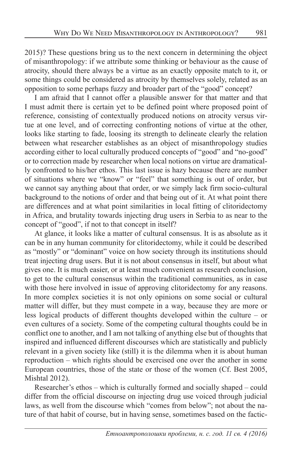2015)? These questions bring us to the next concern in determining the object of misanthropology: if we attribute some thinking or behaviour as the cause of atrocity, should there always be a virtue as an exactly opposite match to it, or some things could be considered as atrocity by themselves solely, related as an opposition to some perhaps fuzzy and broader part of the "good" concept?

I am afraid that I cannot offer a plausible answer for that matter and that I must admit there is certain yet to be defined point where proposed point of reference, consisting of contextually produced notions on atrocity versus virtue at one level, and of correcting confronting notions of virtue at the other, looks like starting to fade, loosing its strength to delineate clearly the relation between what researcher establishes as an object of misanthropology studies according either to local culturally produced concepts of "good" and "no-good" or to correction made by researcher when local notions on virtue are dramatically confronted to his/her ethos. This last issue is hazy because there are number of situations where we "know" or "feel" that something is out of order, but we cannot say anything about that order, or we simply lack firm socio-cultural background to the notions of order and that being out of it. At what point there are differences and at what point similarities in local fitting of clitoridectomy in Africa, and brutality towards injecting drug users in Serbia to as near to the concept of "good", if not to that concept in itself?

At glance, it looks like a matter of cultural consensus. It is as absolute as it can be in any human community for clitoridectomy, while it could be described as "mostly" or "dominant" voice on how society through its institutions should treat injecting drug users. But it is not about consensus in itself, but about what gives one. It is much easier, or at least much convenient as research conclusion, to get to the cultural consensus within the traditional communities, as in case with those here involved in issue of approving clitoridectomy for any reasons. In more complex societies it is not only opinions on some social or cultural matter will differ, but they must compete in a way, because they are more or less logical products of different thoughts developed within the culture – or even cultures of a society. Some of the competing cultural thoughts could be in conflict one to another, and I am not talking of anything else but of thoughts that inspired and influenced different discourses which are statistically and publicly relevant in a given society like (still) it is the dilemma when it is about human reproduction – which rights should be exercised one over the another in some European countries, those of the state or those of the women (Cf. Best 2005, Mishtal 2012).

Researcher's ethos – which is culturally formed and socially shaped – could differ from the official discourse on injecting drug use voiced through judicial laws, as well from the discourse which "comes from below"; not about the nature of that habit of course, but in having sense, sometimes based on the factic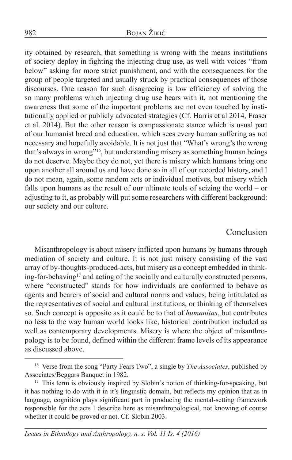ity obtained by research, that something is wrong with the means institutions of society deploy in fighting the injecting drug use, as well with voices "from below" asking for more strict punishment, and with the consequences for the group of people targeted and usually struck by practical consequences of those discourses. One reason for such disagreeing is low efficiency of solving the so many problems which injecting drug use bears with it, not mentioning the awareness that some of the important problems are not even touched by institutionally applied or publicly advocated strategies (Cf. Harris et al 2014, Fraser et al. 2014). But the other reason is compassionate stance which is usual part of our humanist breed and education, which sees every human suffering as not necessary and hopefully avoidable. It is not just that "What's wrong's the wrong that's always in wrong"16, but understanding misery as something human beings do not deserve. Maybe they do not, yet there is misery which humans bring one upon another all around us and have done so in all of our recorded history, and I do not mean, again, some random acts or individual motives, but misery which falls upon humans as the result of our ultimate tools of seizing the world – or adjusting to it, as probably will put some researchers with different background: our society and our culture.

#### Conclusion

Misanthropology is about misery inflicted upon humans by humans through mediation of society and culture. It is not just misery consisting of the vast array of by-thoughts-produced-acts, but misery as a concept embedded in thinking-for-behaving<sup>17</sup> and acting of the socially and culturally constructed persons, where "constructed" stands for how individuals are conformed to behave as agents and bearers of social and cultural norms and values, being intitulated as the representatives of social and cultural institutions, or thinking of themselves so. Such concept is opposite as it could be to that of *humanitas*, but contributes no less to the way human world looks like, historical contribution included as well as contemporary developments. Misery is where the object of misanthropology is to be found, defined within the different frame levels of its appearance as discussed above.

<sup>16</sup> Verse from the song "Party Fears Two", a single by *The Associates*, published by Associates/Beggars Banquet in 1982.

<sup>&</sup>lt;sup>17</sup> This term is obviously inspired by Slobin's notion of thinking-for-speaking, but it has nothing to do with it in it's linguistic domain, but reflects my opinion that as in language, cognition plays significant part in producing the mental-setting framework responsible for the acts I describe here as misanthropological, not knowing of course whether it could be proved or not. Cf. Slobin 2003.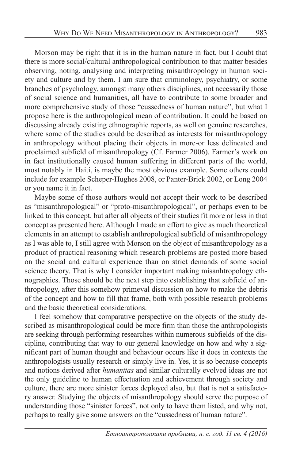Morson may be right that it is in the human nature in fact, but I doubt that there is more social/cultural anthropological contribution to that matter besides observing, noting, analysing and interpreting misanthropology in human society and culture and by them. I am sure that criminology, psychiatry, or some branches of psychology, amongst many others disciplines, not necessarily those of social science and humanities, all have to contribute to some broader and more comprehensive study of those "cussedness of human nature", but what I propose here is the anthropological mean of contribution. It could be based on discussing already existing ethnographic reports, as well on genuine researches, where some of the studies could be described as interests for misanthropology in anthropology without placing their objects in more-or less delineated and proclaimed subfield of misanthropology (Cf. Farmer 2006). Farmer's work on in fact institutionally caused human suffering in different parts of the world, most notably in Haiti, is maybe the most obvious example. Some others could include for example Scheper-Hughes 2008, or Panter-Brick 2002, or Long 2004 or you name it in fact.

Maybe some of those authors would not accept their work to be described as "misanthropological" or "proto-misanthropological", or perhaps even to be linked to this concept, but after all objects of their studies fit more or less in that concept as presented here. Although I made an effort to give as much theoretical elements in an attempt to establish anthropological subfield of misanthropology as I was able to, I still agree with Morson on the object of misanthropology as a product of practical reasoning which research problems are posted more based on the social and cultural experience than on strict demands of some social science theory. That is why I consider important making misanhtropology ethnographies. Those should be the next step into establishing that subfield of anthropology, after this somehow primeval discussion on how to make the debris of the concept and how to fill that frame, both with possible research problems and the basic theoretical considerations.

I feel somehow that comparative perspective on the objects of the study described as misanthropological could be more firm than those the anthropologists are seeking through performing researches within numerous subfields of the discipline, contributing that way to our general knowledge on how and why a significant part of human thought and behaviour occurs like it does in contexts the anthropologists usually research or simply live in. Yes, it is so because concepts and notions derived after *humanitas* and similar culturally evolved ideas are not the only guideline to human effectuation and achievement through society and culture, there are more sinister forces deployed also, but that is not a satisfactory answer. Studying the objects of misanthropology should serve the purpose of understanding those "sinister forces", not only to have them listed, and why not, perhaps to really give some answers on the "cussedness of human nature".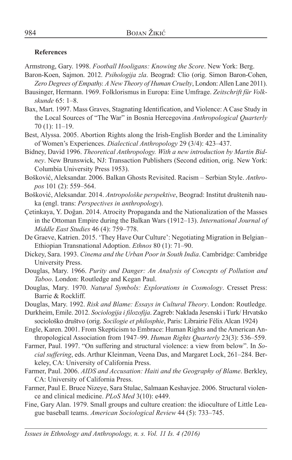#### **References**

Armstrong, Gary. 1998. *Football Hooligans: Knowing the Score*. New York: Berg.

- Baron-Koen, Sajmon. 2012. *Psihologija zla*. Beograd: Clio (orig. Simon Baron-Cohen, *Zero Degrees of Empathy. A New Theory of Human Cruelty*, London: Allen Lane 2011).
- Bausinger, Hermann. 1969. Folklorismus in Europa: Eine Umfrage. *Zeitschrift für Volkskunde* 65: 1–8.
- Bax, Mart. 1997. Mass Graves, Stagnating Identification, and Violence: A Case Study in the Local Sources of "The War" in Bosnia Hercegovina *Anthropological Quarterly*  70 (1): 11–19.
- Best, Alyssa. 2005. Abortion Rights along the Irish-English Border and the Liminality of Women's Experiences. *Dialectical Anthropology* 29 (3/4): 423–437.
- Bidney, David 1996. *Theoretical Anthropology. With a new introduction by Martin Bidney*. New Brunswick, NJ: Transaction Publishers (Second edition, orig. New York: Columbia University Press 1953).

Bošković, Aleksandar. 2006. Balkan Ghosts Revisited. Racism – Serbian Style. *Anthropos* 101 (2): 559–564.

- Bošković, Aleksandar. 2014. *Antropološke perspektive*, Beograd: Institut društenih nauka (engl. trans: *Perspectives in anthropology*).
- Çetinkaya, Y. Doğan. 2014. Atrocity Propaganda and the Nationalization of the Masses in the Ottoman Empire during the Balkan Wars (1912–13). *International Journal of Middle East Studies* 46 (4): 759–778.
- De Graeve, Katrien. 2015. 'They Have Our Culture': Negotiating Migration in Belgian– Ethiopian Transnational Adoption. *Ethnos* 80 (1): 71–90.
- Dickey, Sara. 1993. *Cinema and the Urban Poor in South India*. Cambridge: Cambridge University Press.
- Douglas, Mary. 1966. *Purity and Danger: An Analysis of Concepts of Pollution and Taboo*. London: Routledge and Kegan Paul.
- Douglas, Mary. 1970. *Natural Symbols: Explorations in Cosmology*. Cresset Press: Barrie & Rockliff.
- Douglas, Mary. 1992. *Risk and Blame: Essays in Cultural Theory*. London: Routledge.
- Durkheim, Emile. 2012. *Sociologija i filozofija*. Zagreb: Naklada Jesenski i Turk/ Hrvatsko sociološko društvo (orig. *Socilogie et philosphie*, Paris: Librairie Félix Alcan 1924)
- Engle, Karen. 2001. From Skepticism to Embrace: Human Rights and the American Anthropological Association from 1947–99. *Human Rights Quarterly* 23(3): 536–559.
- Farmer, Paul. 1997. "On suffering and structural violence: a view from below". In *Social suffering*, eds. Arthur Kleinman, Veena Das, and Margaret Lock, 261–284. Berkeley, CA: University of California Press.
- Farmer, Paul. 2006. *AIDS and Accusation: Haiti and the Geography of Blame*. Berkley, CA: University of California Press.
- Farmer, Paul E. Bruce Nizeye, Sara Stulac, Salmaan Keshavjee. 2006. Structural violence and clinical medicine. *PLoS Med* 3(10): e449.
- Fine, Gary Alan. 1979. Small groups and culture creation: the idioculture of Little League baseball teams. *American Sociological Review* 44 (5): 733–745.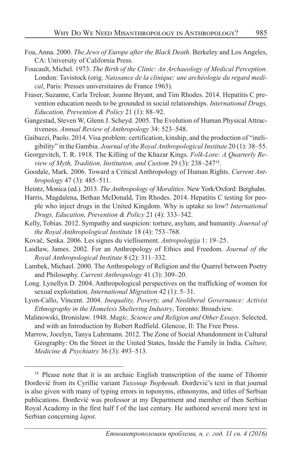- Foa, Anna. 2000. *The Jews of Europe after the Black Death*. Berkeley and Los Angeles, CA: University of California Press.
- Foucault, Michel. 1973. *The Birth of the Clinic: An Archaeology of Medical Perception.* London: Tavistock (orig. *Naissance de la clinique: une archéologie du regard medical*, Paris: Presses universitaires de France 1963).
- Fraser, Suzanne, Carla Treloar, Joanne Bryant, and Tim Rhodes. 2014. Hepatitis C prevention education needs to be grounded in social relationships. *International Drugs, Education, Prevention & Policy* 21 (1): 88–92.
- Gangestad, Steven W, Glenn J. Scheyd. 2005. The Evolution of Human Physical Attractiveness. *Annual Review of Anthropology* 34: 523–548.
- Gaibazzi, Paolo. 2014. Visa problem: certification, kinship, and the production of "ineligibility" in the Gambia. *Journal of the Royal Anthropological Institute* 20 (1): 38–55.
- Georgevitch, T. R. 1918. The Killing of the Khazar Kings. *Folk-Lore: A Quarterly Review of Myth, Tradition, Institution, and Custom* 29 (3): 238–24718.
- Goodale, Mark. 2006. Toward a Critical Anthropology of Human Rights. *Current Anthropology* 47 (3): 485–511.
- Heintz, Monica (ed.). 2013. *The Anthropology of Moralities*. New York/Oxford: Berghahn.
- Harris, Magdalena, Bethan McDonald, Tim Rhodes. 2014. Hepatitis C testing for people who inject drugs in the United Kingdom. Why is uptake so low? *International Drugs, Education, Prevention & Policy* 21 (4): 333–342.
- Kelly, Tobias. 2012. Sympathy and suspicion: torture, asylum, and humanity. *Journal of the Royal Anthropological Institute* 18 (4): 753–768.
- Kovač, Senka. 2006. Les signes du viellisement. *Antropologija* 1: 19–25.
- Laidlaw, James. 2002. For an Anthropology of Ethics and Freedom. *Journal of the Royal Anthropological Institute* 8 (2): 311–332.
- Lambek, Michael. 2000. The Anthropology of Religion and the Quarrel between Poetry and Philosophy. *Current Anthropology* 41 (3): 309–20.
- Long. Lynellyn D. 2004. Anthropological perspectives on the trafficking of women for sexual exploitation. *International Migration* 42 (1): 5–31.
- Lyon-Callo, Vincent. 2004. *Inequality, Poverty, and Neoliberal Governance: Activist Ethnography in the Homeless Sheltering Industry*, Toronto: Broadview.
- Malinowski, Bronislaw. 1948. *Magic, Science and Religion and Other Essays*. Selected, and with an Introduction by Robert Redfield. Glencoe, Il: The Free Press.
- Marrow, Jocelyn, Tanya Luhrmann. 2012. The Zone of Social Abandonment in Cultural Geography: On the Street in the United States, Inside the Family in India. *Culture, Medicine & Psychiatry* 36 (3): 493–513.

<sup>&</sup>lt;sup>18</sup> Please note that it is an archaic English transcription of the name of Tihomir Đorđević from its Cyrillic variant *Тихомир Ђорђевић*. Đorđević's text in that journal is also given with many of typing errors in toponyms, ethnonyms, and titles of Serbian publications. Đorđević was professor at my Department and member of then Serbian Royal Academy in the first half f of the last century. He authored several more text in Serbian concerning *lapot*.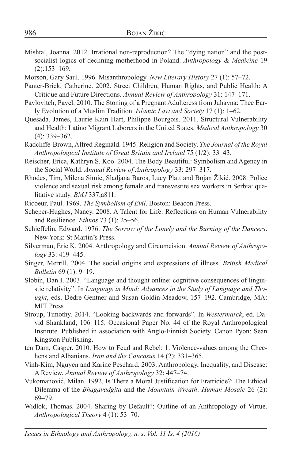- Mishtal, Joanna. 2012. Irrational non-reproduction? The "dying nation" and the postsocialist logics of declining motherhood in Poland. *Anthropology & Medicine* 19 (2):153–169.
- Morson, Gary Saul. 1996. Misanthropology. *New Literary History* 27 (1): 57–72.
- Panter-Brick, Catherine. 2002. Street Children, Human Rights, and Public Health: A Critique and Future Directions. *Annual Review of Anthropology* 31: 147–171.
- Pavlovitch, Pavel. 2010. The Stoning of a Pregnant Adulteress from Juhayna: Thee Early Evolution of a Muslim Tradition. *Islamic Law and Society* 17 (1): 1–62.
- Quesada, James, Laurie Kain Hart, Philippe Bourgois. 2011. Structural Vulnerability and Health: Latino Migrant Laborers in the United States. *Medical Anthropology* 30 (4): 339–362.
- Radcliffe-Brown, Alfred Reginald. 1945. Religion and Society. *The Journal of the Royal Anthropological Institute of Great Britain and Ireland* 75 (1/2): 33–43.
- Reischer, Erica, Kathryn S. Koo. 2004. The Body Beautiful: Symbolism and Agency in the Social World. *Annual Review of Anthropology* 33: 297–317.
- Rhodes, Tim, Milena Simic, Sladjana Baros, Lucy Platt and Bojan Žikić. 2008. Police violence and sexual risk among female and transvestite sex workers in Serbia: qualitative study. *BMJ* 337;a811.
- Ricoeur, Paul. 1969. *The Symbolism of Evil*. Boston: Beacon Press.
- Scheper-Hughes, Nancy. 2008. A Talent for Life: Reflections on Human Vulnerability and Resilience. *Ethnos* 73 (1): 25–56.
- Schieffelin, Edward. 1976. *The Sorrow of the Lonely and the Burning of the Dancers*. New York: St Martin's Press.
- Silverman, Eric K. 2004. Anthropology and Circumcision. *Annual Review of Anthropology* 33: 419–445.
- Singer, Merrill. 2004. The social origins and expressions of illness. *British Medical Bulletin* 69 (1): 9–19.
- Slobin, Dan I. 2003. "Language and thought online: cognitive consequences of linguistic relativity". In *Language in Mind: Advances in the Study of Language and Thought*, eds. Dedre Gentner and Susan Goldin-Meadow, 157–192. Cambridge, MA: MIT Press
- Stroup, Timothy. 2014. "Looking backwards and forwards". In *Westermarck*, ed. David Shankland, 106–115. Occasional Paper No. 44 of the Royal Anthropological Institute. Published in association with Anglo-Finnish Society. Canon Pyon: Sean Kingston Publishing.
- ten Dam, Casper. 2010. How to Feud and Rebel: 1. Violence-values among the Chechens and Albanians. *Iran and the Caucasus* 14 (2): 331–365.
- Vinh-Kim, Nguyen and Karine Peschard. 2003. Anthropology, Inequality, and Disease: A Review. *Annual Review of Anthropology* 32: 447–74.
- Vukomanović, Milan. 1992. Is There a Moral Justification for Fratricide?: The Ethical Dilemma of the *Bhagavadgita* and the *Mountain Wreath*. *Human Mosaic* 26 (2): 69–79.
- Widlok, Thomas. 2004. Sharing by Default?: Outline of an Anthropology of Virtue. *Anthropological Theory* 4 (1): 53–70.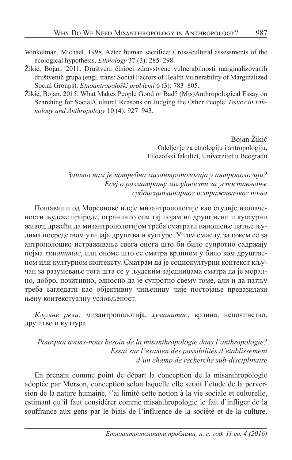- Winkelman, Michael. 1998. Aztec human sacrifice: Cross-cultural assessments of the ecological hypothesis. *Ethnology* 37 (3): 285–298.
- Žikić, Bojan. 2011. Društveni činioci zdravstvene vulnerabilnosti marginalizovanih društvenih grupa (engl. trans: Social Factors of Health Vulnerability of Marginalized Social Groups). *Etnoantropološki problemi* 6 (3): 783–805.
- Žikić, Bojan. 2015. What Makes People Good or Bad? (Mis)Anthropological Essay on Searching for Social/Cultural Reasons on Judging the Other People. *Issues in Ethnology and Anthropology* 10 (4): 927–943.

Bojan Žikić Odeljenje za etnologiju i antropologiju, Filozofski fakultet, Univerzitet u Beogradu

#### *Зашто нам је потребна мизантропологија у антропологији? Есеј о разматрању могућности за успостављање субдисциплинарног истраживачког поља*

Пошаваши од Морсонове идеје мизантропологије као студије изопачености људске природе, ограничио сам тај појам на друштвени и културни живот, држећи да мизантропологијом треба сматрати наношење патње људима посредством утицаја друштва и културе. У том смислу, залажем се за антрополошко истраживање свега онога што би било супротно садржају појма *хуманитас*, или ономе што се сматра врлином у било ком друштвеном или културном контексту. Сматрам да је социокултурни контекст кључан за разумевање тога шта се у људским заједницама сматра да је морално, добро, позитивно, односно да је супротно свему томе, али и да патњу треба сагледати као објективну чињеницу чије постојање превазилази њену контекстуалну условљеност.

*Кључне речи:* мизантропологија, *хуманитас*, врлина, непочинство, друштво и култура

*Pourquoi avons-nous besoin de la misanthropologie dans l'anthropologie? Essai sur l'examen des possibilités d'établissement d'un champ de recherche sub-disciplinaire*

En prenant comme point de départ la conception de la misanthropologie adoptée par Morson, conception selon laquelle elle serait l'étude de la perversion de la nature humaine, j'ai limité cette notion à la vie sociale et culturelle, estimant qu'il faut considérer comme misanthropologie le fait d'infliger de la souffrance aux gens par le biais de l'influence de la société et de la culture.